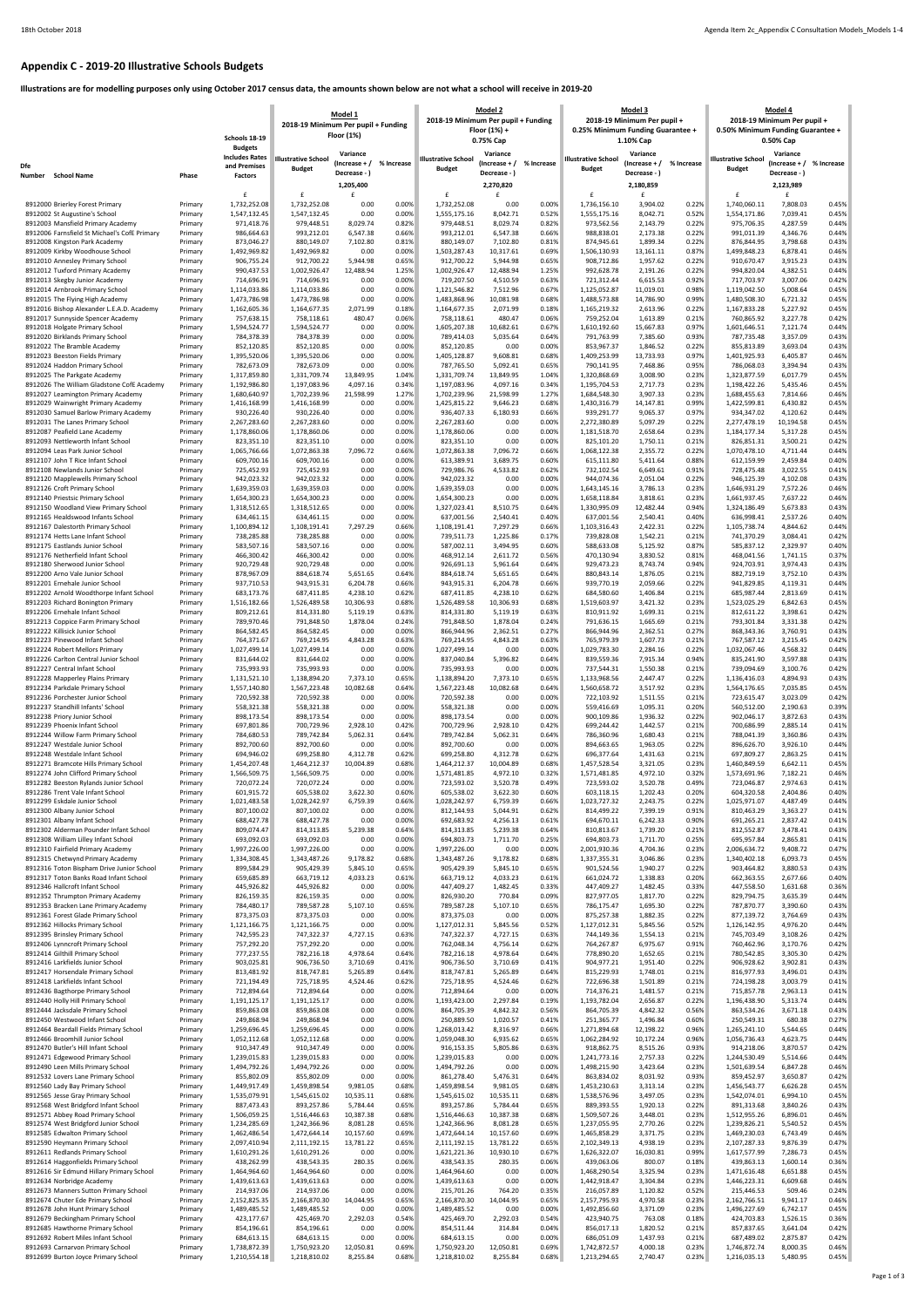## **Appendix C - 2019-20 Illustrative Schools Budgets**

**Illustrations are for modelling purposes only using October 2017 census data, the amounts shown below are not what a school will receive in 2019-20**

|                                                                              |                    | Schools 18-19                           | Model 1<br>2018-19 Minimum Per pupil + Funding<br>Floor (1%) |                                   |                | 2018-19 Minimum Per pupil + Funding | <b>Model 2</b><br>Floor (1%) +    |                | 0.25% Minimum Funding Guarantee + | <u>Model 3</u><br>2018-19 Minimum Per pupil + |                | <u>Model 4</u><br>2018-19 Minimum Per pupil +<br>0.50% Minimum Funding Guarantee + |                               |                |
|------------------------------------------------------------------------------|--------------------|-----------------------------------------|--------------------------------------------------------------|-----------------------------------|----------------|-------------------------------------|-----------------------------------|----------------|-----------------------------------|-----------------------------------------------|----------------|------------------------------------------------------------------------------------|-------------------------------|----------------|
|                                                                              |                    | <b>Budgets</b><br><b>Includes Rates</b> | <b>Illustrative School</b>                                   | Variance                          |                | <b>Illustrative School</b>          | 0.75% Cap<br>Variance             |                | <b>Illustrative School</b>        | 1.10% Cap<br>Variance                         |                | <b>Illustrative School</b>                                                         | 0.50% Cap<br>Variance         |                |
| Dfe<br>Number<br><b>School Name</b>                                          | Phase              | and Premises<br><b>Factors</b>          | <b>Budget</b>                                                | (Increase + /<br>Decrease - )     | % Increase     | <b>Budget</b>                       | (Increase + /<br>Decrease - )     | % Increase     | <b>Budget</b>                     | (Increase + /<br>Decrease -                   | % Increase     | <b>Budget</b>                                                                      | (Increase + /<br>Decrease - ) | % Increase     |
| 8912000 Brierley Forest Primary                                              | Primary            | £<br>1,732,252.08                       | £<br>1,732,252.08                                            | 1,205,400<br>$\mathbf{f}$<br>0.00 | 0.00%          | £<br>1,732,252.08                   | 2,270,820<br>$\mathbf{f}$<br>0.00 | 0.00%          | £<br>1,736,156.10                 | 2,180,859<br>£<br>3,904.02                    | 0.22%          | £<br>1,740,060.11                                                                  | 2,123,989<br>£<br>7,808.03    | 0.45%          |
| 8912002 St Augustine's School                                                | Primary            | 1,547,132.45                            | 1,547,132.45                                                 | 0.00                              | 0.00%          | 1,555,175.16                        | 8,042.71                          | 0.52%          | 1,555,175.16                      | 8,042.71                                      | 0.52%          | 1,554,171.86                                                                       | 7,039.41                      | 0.45%          |
| 8912003 Mansfield Primary Academy                                            |                    | 971,418.76                              | 979,448.51                                                   | 8,029.74                          | 0.82%          | 979,448.51                          | 8,029.74                          | 0.82%          | 973,562.56                        | 2,143.79                                      | 0.22%          | 975,706.35                                                                         | 4,287.59                      | 0.44%          |
| 8912006 Farnsfield St Michael's CofE Primary                                 | Primary<br>Primary | 986,664.63                              | 993,212.01                                                   | 6,547.38                          | 0.66%          | 993,212.01                          | 6,547.38                          | 0.66%          | 988,838.01                        | 2,173.38                                      | 0.22%          | 991,011.39                                                                         | 4,346.76                      | 0.44%          |
| 8912008 Kingston Park Academy                                                | Primary            | 873,046.27                              | 880,149.07                                                   | 7,102.80                          | 0.81%          | 880,149.07                          | 7,102.80                          | 0.81%          | 874,945.61                        | 1,899.34                                      | 0.22%          | 876,844.95                                                                         | 3,798.68                      | 0.43%          |
| 8912009 Kirkby Woodhouse School                                              | Primary            | 1,492,969.82                            | 1,492,969.82                                                 | 0.00                              | 0.00%          | 1,503,287.43                        | 10,317.61                         | 0.69%          | 1,506,130.93                      | 13,161.11                                     | 0.87%          | 1,499,848.23                                                                       | 6,878.41                      | 0.46%          |
| 8912010 Annesley Primary School                                              | Primary            | 906,755.24                              | 912,700.22                                                   | 5,944.98                          | 0.65%          | 912,700.22                          | 5,944.98                          | 0.65%          | 908,712.86                        | 1,957.62                                      | 0.22%          | 910,670.47                                                                         | 3,915.23                      | 0.43%          |
| 8912012 Tuxford Primary Academy                                              | Primary            | 990,437.53                              | 1,002,926.47                                                 | 12,488.94                         | 1.25%          | 1,002,926.47                        | 12,488.94                         | 1.25%          | 992,628.78                        | 2,191.26                                      | 0.22%          | 994,820.04                                                                         | 4,382.51                      | 0.44%          |
| 8912013 Skegby Junior Academy                                                | Primary            | 714,696.91                              | 714,696.91                                                   | 0.00                              | 0.00%          | 719,207.50                          | 4,510.59                          | 0.63%          | 721,312.44                        | 6,615.53                                      | 0.92%          | 717,703.97                                                                         | 3,007.06                      | 0.42%          |
| 8912014 Arnbrook Primary School                                              | Primary            | 1,114,033.86                            | 1,114,033.86                                                 | 0.00                              | 0.00%          | 1,121,546.82                        | 7,512.96                          | 0.67%          | 1,125,052.87                      | 11,019.01                                     | 0.98%          | 1,119,042.50                                                                       | 5,008.64                      | 0.45%          |
| 8912015 The Flying High Academy                                              | Primary            | 1,473,786.98                            | 1,473,786.98                                                 | 0.00                              | 0.00%          | 1,483,868.96                        | 10,081.98                         | 0.68%          | 1,488,573.88                      | 14,786.90                                     | 0.99%          | 1,480,508.30                                                                       | 6,721.32                      | 0.45%          |
| 8912016 Bishop Alexander L.E.A.D. Academy                                    | Primary            | 1,162,605.36                            | 1,164,677.35                                                 | 2,071.99                          | 0.18%          | 1,164,677.35                        | 2,071.99                          | 0.18%          | 1,165,219.32                      | 2,613.96                                      | 0.22%          | 1,167,833.28                                                                       | 5,227.92                      | 0.45%          |
| 8912017 Sunnyside Spencer Academy                                            | Primary            | 757,638.15                              | 758,118.61                                                   | 480.47                            | 0.06%          | 758,118.61                          | 480.47                            | 0.06%          | 759,252.04                        | 1,613.89                                      | 0.21%          | 760,865.92                                                                         | 3,227.78                      | 0.42%          |
| 8912018 Holgate Primary School                                               | Primary            | 1,594,524.77                            | 1,594,524.77                                                 | 0.00                              | 0.00%<br>0.00% | 1,605,207.38                        | 10,682.61                         | 0.67%<br>0.64% | 1,610,192.60                      | 15,667.83                                     | 0.97%<br>0.93% | 1,601,646.51                                                                       | 7,121.74<br>3,357.09          | 0.44%<br>0.43% |
| 8912020 Birklands Primary School<br>8912022 The Bramble Academy              | Primary<br>Primary | 784,378.39<br>852,120.85                | 784,378.39<br>852,120.85                                     | 0.00<br>0.00                      | 0.00%          | 789,414.03<br>852,120.85            | 5,035.64<br>0.00                  | 0.00%          | 791,763.99<br>853,967.37          | 7,385.60<br>1,846.52                          | 0.22%          | 787,735.48<br>855,813.89                                                           | 3,693.04                      | 0.43%          |
| 8912023 Beeston Fields Primary                                               | Primary            | 1,395,520.06                            | 1,395,520.06                                                 | 0.00                              | 0.00%          | 1,405,128.87                        | 9,608.81                          | 0.68%          | 1,409,253.99                      | 13,733.93                                     | 0.97%          | 1,401,925.93                                                                       | 6,405.87                      | 0.46%          |
| 8912024 Haddon Primary School                                                | Primary            | 782,673.09                              | 782,673.09                                                   | 0.00                              | 0.00%          | 787,765.50                          | 5,092.41                          | 0.65%          | 790,141.95                        | 7,468.86                                      | 0.95%          | 786,068.03                                                                         | 3,394.94                      | 0.43%          |
| 8912025 The Parkgate Academy                                                 | Primary            | 1,317,859.80                            | 1,331,709.74                                                 | 13,849.95                         | 1.04%          | 1,331,709.74                        | 13,849.95                         | 1.04%          | 1,320,868.69                      | 3,008.90                                      | 0.23%          | 1,323,877.59                                                                       | 6,017.79                      | 0.45%          |
| 8912026 The William Gladstone CofE Academy                                   | Primary            | 1,192,986.80                            | 1,197,083.96                                                 | 4,097.16                          | 0.34%          | 1,197,083.96                        | 4,097.16                          | 0.34%          | 1,195,704.53                      | 2,717.73                                      | 0.23%          | 1,198,422.26                                                                       | 5,435.46                      | 0.45%          |
| 8912027 Leamington Primary Academy                                           | Primary            | 1,680,640.97                            | 1,702,239.96                                                 | 21,598.99                         | 1.27%          | 1,702,239.96                        | 21,598.99                         | 1.27%          | 1,684,548.30                      | 3,907.33                                      | 0.23%          | 1,688,455.63                                                                       | 7,814.66                      | 0.46%          |
| 8912029 Wainwright Primary Academy                                           | Primary            | 1,416,168.99                            | 1,416,168.99                                                 | 0.00                              | 0.00%          | 1,425,815.22                        | 9,646.23                          | 0.68%          | 1,430,316.79                      | 14,147.81                                     | 0.99%          | 1,422,599.81                                                                       | 6,430.82                      | 0.45%          |
| 8912030 Samuel Barlow Primary Academy                                        | Primary            | 930,226.40                              | 930,226.40                                                   | 0.00                              | 0.00%          | 936,407.33                          | 6,180.93                          | 0.66%          | 939,291.77                        | 9,065.37                                      | 0.97%          | 934,347.02                                                                         | 4,120.62                      | 0.44%          |
| 8912031 The Lanes Primary School                                             | Primary            | 2,267,283.60                            | 2,267,283.60                                                 | 0.00                              | 0.00%          | 2,267,283.60                        | 0.00                              | 0.00%          | 2,272,380.89                      | 5,097.29                                      | 0.22%          | 2,277,478.19                                                                       | 10,194.58                     | 0.45%          |
| 8912087 Peafield Lane Academy                                                | Primary            | 1,178,860.06                            | 1,178,860.06                                                 | 0.00                              | 0.00%          | 1,178,860.06                        | 0.00                              | 0.00%          | 1,181,518.70                      | 2,658.64                                      | 0.23%          | 1,184,177.34                                                                       | 5,317.28                      | 0.45%          |
| 8912093 Nettleworth Infant School                                            | Primary            | 823,351.10                              | 823,351.10                                                   | 0.00                              | 0.00%          | 823,351.10                          | 0.00                              | 0.00%          | 825,101.20                        | 1,750.11                                      | 0.21%          | 826,851.31                                                                         | 3,500.21                      | 0.42%          |
| 8912094 Leas Park Junior School                                              | Primary            | 1,065,766.66                            | 1,072,863.38                                                 | 7,096.72                          | 0.66%          | 1,072,863.38                        | 7,096.72                          | 0.66%          | 1,068,122.38                      | 2,355.72                                      | 0.22%          | 1,070,478.10                                                                       | 4,711.44                      | 0.44%          |
| 8912107 John T Rice Infant School                                            | Primary            | 609,700.16                              | 609,700.16                                                   | 0.00                              | 0.00%          | 613,389.91                          | 3,689.75                          | 0.60%          | 615,111.80                        | 5,411.64                                      | 0.88%          | 612,159.99                                                                         | 2,459.84                      | 0.40%          |
| 8912108 Newlands Junior School                                               | Primary            | 725,452.93                              | 725,452.93                                                   | 0.00                              | 0.00%          | 729,986.76                          | 4,533.82                          | 0.62%          | 732,102.54                        | 6,649.61                                      | 0.91%          | 728,475.48                                                                         | 3,022.55                      | 0.41%          |
| 8912120 Mapplewells Primary School                                           | Primary            | 942,023.32                              | 942,023.32                                                   | 0.00                              | 0.00%          | 942,023.32                          | 0.00                              | 0.00%          | 944,074.36                        | 2,051.04                                      | 0.22%          | 946,125.39                                                                         | 4,102.08                      | 0.43%          |
| 8912126 Croft Primary School                                                 | Primary            | 1,639,359.03                            | 1,639,359.03                                                 | 0.00                              | 0.00%          | 1,639,359.03                        | 0.00                              | 0.00%          | 1,643,145.16                      | 3,786.13                                      | 0.23%          | 1,646,931.29                                                                       | 7,572.26                      | 0.46%          |
| 8912140 Priestsic Primary School                                             | Primary            | 1,654,300.23                            | 1,654,300.23                                                 | 0.00                              | 0.00%          | 1,654,300.23                        | 0.00                              | 0.00%          | 1,658,118.84                      | 3,818.61                                      | 0.23%          | 1,661,937.45                                                                       | 7,637.22                      | 0.46%          |
| 8912150 Woodland View Primary School                                         | Primary            | 1,318,512.65                            | 1,318,512.65                                                 | 0.00                              | 0.00%          | 1,327,023.41                        | 8,510.75                          | 0.64%          | 1,330,995.09                      | 12,482.44                                     | 0.94%          | 1,324,186.49                                                                       | 5,673.83                      | 0.43%          |
| 8912165 Healdswood Infants School                                            | Primary            | 634,461.15                              | 634,461.15                                                   | 0.00                              | 0.00%          | 637,001.56                          | 2,540.41                          | 0.40%          | 637,001.56                        | 2,540.41                                      | 0.40%          | 636,998.41                                                                         | 2,537.26                      | 0.40%          |
| 8912167 Dalestorth Primary School                                            | Primary            | 1,100,894.12                            | 1,108,191.41                                                 | 7,297.29                          | 0.66%          | 1,108,191.41                        | 7,297.29                          | 0.66%          | 1,103,316.43                      | 2,422.31                                      | 0.22%          | 1,105,738.74                                                                       | 4,844.62                      | 0.44%          |
| 8912174 Hetts Lane Infant School                                             | Primary            | 738,285.88                              | 738,285.88                                                   | 0.00<br>0.00                      | 0.00%          | 739,511.73                          | 1,225.86                          | 0.17%<br>0.60% | 739,828.08                        | 1,542.21                                      | 0.21%<br>0.87% | 741,370.29                                                                         | 3,084.41                      | 0.42%          |
| 8912175 Eastlands Junior School<br>8912176 Netherfield Infant School         | Primary<br>Primary | 583,507.16<br>466,300.42                | 583,507.16<br>466,300.42                                     | 0.00                              | 0.00%<br>0.00% | 587,002.11<br>468,912.14            | 3,494.95<br>2,611.72              | 0.56%          | 588,633.08<br>470,130.94          | 5,125.92<br>3,830.52                          | 0.81%          | 585,837.12<br>468,041.56                                                           | 2,329.97<br>1,741.15          | 0.40%<br>0.37% |
| 8912180 Sherwood Junior School                                               | Primary            | 920,729.48                              | 920,729.48                                                   | 0.00                              | 0.00%          | 926,691.13                          | 5,961.64                          | 0.64%          | 929,473.23                        | 8,743.74                                      | 0.94%          | 924,703.91                                                                         | 3,974.43                      | 0.43%          |
| 8912200 Arno Vale Junior School                                              | Primary            | 878,967.09                              | 884,618.74                                                   | 5,651.65                          | 0.64%          | 884,618.74                          | 5,651.65                          | 0.64%          | 880,843.14                        | 1,876.05                                      | 0.21%          | 882,719.19                                                                         | 3,752.10                      | 0.43%          |
| 8912201 Ernehale Junior School                                               | Primary            | 937,710.53<br>683,173.76                | 943,915.31<br>687,411.85                                     | 6,204.78<br>4,238.10              | 0.66%<br>0.62% | 943,915.31<br>687,411.85            | 6,204.78                          | 0.66%<br>0.62% | 939,770.19<br>684,580.60          | 2,059.66<br>1,406.84                          | 0.22%<br>0.21% | 941,829.85<br>685,987.44                                                           | 4,119.31<br>2,813.69          | 0.44%<br>0.41% |
| 8912202 Arnold Woodthorpe Infant School<br>8912203 Richard Bonington Primary | Primary<br>Primary | 1,516,182.66                            | 1,526,489.58                                                 | 10,306.93                         | 0.68%          | 1,526,489.58                        | 4,238.10<br>10,306.93             | 0.68%          | 1,519,603.97                      | 3,421.32                                      | 0.23%          | 1,523,025.29                                                                       | 6,842.63                      | 0.45%          |
| 8912206 Ernehale Infant School                                               | Primary            | 809,212.61                              | 814,331.80                                                   | 5,119.19                          | 0.63%          | 814,331.80                          | 5,119.19                          | 0.63%          | 810,911.92                        | 1,699.31                                      | 0.21%          | 812,611.22                                                                         | 3,398.61                      | 0.42%          |
| 8912213 Coppice Farm Primary School                                          | Primary            | 789,970.46                              | 791,848.50                                                   | 1,878.04                          | 0.24%          | 791,848.50                          | 1,878.04                          | 0.24%          | 791,636.15                        | 1,665.69                                      | 0.21%          | 793,301.84                                                                         | 3,331.38                      | 0.42%          |
| 8912222 Killisick Junior School                                              | Primary            | 864,582.45                              | 864,582.45                                                   | 0.00                              | 0.00%          | 866,944.96                          | 2,362.51                          | 0.27%          | 866,944.96                        | 2,362.51                                      | 0.27%          | 868,343.36                                                                         | 3,760.91                      | 0.43%          |
| 8912223 Pinewood Infant School                                               | Primary            | 764,371.67                              | 769,214.95                                                   | 4,843.28                          | 0.63%          | 769,214.95                          | 4,843.28                          | 0.63%          | 765,979.39                        | 1,607.73                                      | 0.21%          | 767,587.12                                                                         | 3,215.45                      | 0.42%          |
| 8912224 Robert Mellors Primary                                               | Primary            | 1,027,499.14                            | 1,027,499.14                                                 | 0.00                              | 0.00%          | 1,027,499.14                        | 0.00                              | 0.00%          | 1,029,783.30                      | 2,284.16                                      | 0.22%          | 1,032,067.46                                                                       | 4,568.32                      | 0.44%          |
| 8912226 Carlton Central Junior School                                        | Primary            | 831,644.02                              | 831,644.02                                                   | 0.00                              | 0.00%          | 837,040.84                          | 5,396.82                          | 0.64%          | 839,559.36                        | 7,915.34                                      | 0.94%          | 835,241.90                                                                         | 3,597.88                      | 0.43%          |
| 8912227 Central Infant School                                                | Primary            | 735,993.93                              | 735,993.93                                                   | 0.00                              | 0.00%          | 735,993.93                          | 0.00                              | 0.00%          | 737,544.31                        | 1,550.38                                      | 0.21%          | 739,094.69                                                                         | 3,100.76                      | 0.42%          |
| 8912228 Mapperley Plains Primary                                             | Primary            | 1,131,521.10                            | 1,138,894.20                                                 | 7,373.10                          | 0.65%          | 1,138,894.20                        | 7,373.10                          | 0.65%          | 1,133,968.56                      | 2,447.47                                      | 0.22%          | 1,136,416.03                                                                       | 4,894.93                      | 0.43%          |
| 8912234 Parkdale Primary School                                              | Primary            | 1,557,140.80                            | 1,567,223.48                                                 | 10,082.68                         | 0.64%          | 1,567,223.48                        | 10,082.68                         | 0.64%          | 1,560,658.72                      | 3,517.92                                      | 0.23%          | 1,564,176.65                                                                       | 7,035.85                      | 0.45%          |
| 8912236 Porchester Junior School                                             | Primary            | 720,592.38                              | 720,592.38                                                   | 0.00                              | 0.00%          | 720,592.38                          | 0.00                              | 0.00%          | 722,103.92                        | 1,511.55                                      | 0.21%          | 723,615.47                                                                         | 3,023.09                      | 0.42%          |
| 8912237 Standhill Infants' School                                            | Primary            | 558,321.38                              | 558,321.38                                                   | 0.00                              | 0.00%          | 558,321.38                          | 0.00                              | 0.00%          | 559,416.69                        | 1,095.31                                      | 0.20%          | 560,512.00                                                                         | 2,190.63                      | 0.39%          |
| 8912238 Priory Junior School                                                 | Primary            | 898,173.54                              | 898,173.54                                                   | 0.00                              | 0.00%          | 898,173.54                          | 0.00                              | 0.00%          | 900,109.86                        | 1,936.32                                      | 0.22%          | 902,046.17                                                                         | 3,872.63                      | 0.43%          |
| 8912239 Phoenix Infant School                                                | Primary            | 697,801.86                              | 700,729.96                                                   | 2,928.10                          | 0.42%          | 700,729.96                          | 2,928.10                          | 0.42%          | 699,244.42                        | 1,442.57                                      | 0.21%          | 700,686.99                                                                         | 2,885.14                      | 0.41%          |
| 8912244 Willow Farm Primary School                                           | Primary            | 784,680.53                              | 789,742.84                                                   | 5,062.31                          | 0.64%          | 789,742.84                          | 5,062.31                          | 0.64%          | 786,360.96                        | 1,680.43                                      | 0.21%          | 788,041.39                                                                         | 3,360.86                      | 0.43%          |
| 8912247 Westdale Junior School                                               | Primary            | 892,700.60                              | 892,700.60                                                   | 0.00                              | 0.00%          | 892,700.60                          | 0.00                              | 0.00%          | 894,663.65                        | 1,963.05                                      | 0.22%          | 896,626.70                                                                         | 3,926.10                      | 0.44%          |
| 8912248 Westdale Infant School                                               | Primary            | 694,946.02                              | 699,258.80                                                   | 4,312.78                          | 0.62%          | 699,258.80                          | 4,312.78                          | 0.62%          | 696,377.64                        | 1,431.63                                      | 0.21%          | 697,809.27                                                                         | 2,863.25                      | 0.41%          |
| 8912271 Bramcote Hills Primary School                                        | Primary            | 1,454,207.48                            | 1,464,212.37                                                 | 10,004.89                         | 0.68%          | 1,464,212.37                        | 10,004.89                         | 0.68%          | 1,457,528.54                      | 3,321.05                                      | 0.23%          | 1,460,849.59                                                                       | 6,642.11                      | 0.45%          |
| 8912274 John Clifford Primary School                                         | Primary            | 1,566,509.75                            | 1,566,509.75                                                 | 0.00                              | 0.00%          | 1,571,481.85                        | 4,972.10                          | 0.32%          | 1,571,481.85                      | 4,972.10                                      | 0.32%          | 1,573,691.96                                                                       | 7,182.21                      | 0.46%          |
| 8912282 Beeston Rylands Junior School                                        | Primary            | 720,072.24                              | 720,072.24                                                   | 0.00                              | 0.00%          | 723,593.02                          | 3,520.78                          | 0.49%          | 723,593.02                        | 3,520.78                                      | 0.49%          | 723,046.87                                                                         | 2,974.63                      | 0.41%          |
| 8912286 Trent Vale Infant School                                             | Primary            | 601,915.72                              | 605,538.02                                                   | 3,622.30                          | 0.60%          | 605,538.02                          | 3,622.30                          | 0.60%          | 603,118.15                        | 1,202.43                                      | 0.20%          | 604,320.58                                                                         | 2,404.86                      | 0.40%          |
| 8912299 Eskdale Junior School                                                | Primary            | 1,021,483.58                            | 1,028,242.97                                                 | 6,759.39                          | 0.66%          | 1,028,242.97                        | 6,759.39                          | 0.66%          | 1,023,727.32                      | 2,243.75                                      | 0.22%          | 1,025,971.07                                                                       | 4,487.49                      | 0.44%          |
| 8912300 Albany Junior School                                                 | Primary            | 807,100.02                              | 807,100.02                                                   | 0.00                              | 0.00%          | 812,144.93                          | 5,044.91                          | 0.62%          | 814,499.22                        | 7,399.19                                      | 0.91%          | 810,463.29                                                                         | 3,363.27                      | 0.41%          |
| 8912301 Albany Infant School                                                 | Primary            | 688,427.78                              | 688,427.78                                                   | 0.00                              | 0.00%          | 692,683.92                          | 4,256.13                          | 0.61%          | 694,670.11                        | 6,242.33                                      | 0.90%          | 691,265.21                                                                         | 2,837.42                      | 0.41%          |
| 8912302 Alderman Pounder Infant School                                       | Primary            | 809,074.47                              | 814,313.85                                                   | 5,239.38                          | 0.64%          | 814,313.85                          | 5,239.38                          | 0.64%          | 810,813.67                        | 1,739.20                                      | 0.21%          | 812,552.87                                                                         | 3,478.41                      | 0.43%          |
| 8912308 William Lilley Infant School                                         | Primary            | 693,092.03                              | 693,092.03                                                   | 0.00                              | 0.00%          | 694,803.73                          | 1,711.70                          | 0.25%          | 694,803.73                        | 1,711.70                                      | 0.25%          | 695,957.84                                                                         | 2,865.81                      | 0.41%          |
| 8912310 Fairfield Primary Academy                                            |                    | 1,997,226.00                            | 1,997,226.00                                                 | 0.00                              | 0.00%          | 1,997,226.00                        | 0.00                              | 0.00%          | 2,001,930.36                      | 4,704.36                                      | 0.23%          | 2,006,634.72                                                                       | 9,408.72                      | 0.47%          |
| 8912315 Chetwynd Primary Academy                                             | Primary<br>Primary | 1,334,308.45                            | 1,343,487.26                                                 | 9,178.82                          | 0.68%          | 1,343,487.26                        | 9,178.82                          | 0.68%          | 1,337,355.31                      | 3,046.86                                      | 0.23%          | 1,340,402.18                                                                       | 6,093.73                      | 0.45%          |
| 8912316 Toton Bispham Drive Junior School                                    | Primary            | 899,584.29                              | 905,429.39                                                   | 5,845.10                          | 0.65%          | 905,429.39                          | 5,845.10                          | 0.65%          | 901,524.56                        | 1,940.27                                      | 0.22%          | 903,464.82                                                                         | 3,880.53                      | 0.43%          |
| 8912317 Toton Banks Road Infant School                                       | Primary            | 659,685.89                              | 663,719.12                                                   | 4,033.23                          | 0.61%          | 663,719.12                          | 4,033.23                          | 0.61%          | 661,024.72                        | 1,338.83                                      | 0.20%          | 662,363.55                                                                         | 2,677.66                      | 0.40%          |
| 8912346 Hallcroft Infant School                                              | Primary            | 445,926.82                              | 445,926.82                                                   | 0.00                              | 0.00%          | 447,409.27                          | 1,482.45                          | 0.33%          | 447,409.27                        | 1,482.45                                      | 0.33%          | 447,558.50                                                                         | 1,631.68                      | 0.36%          |
| 8912352 Thrumpton Primary Academy                                            | Primary            | 826,159.35                              | 826,159.35                                                   | 0.00                              | 0.00%          | 826,930.20                          | 770.84                            | 0.09%          | 827,977.05                        | 1,817.70                                      | 0.22%          | 829,794.75                                                                         | 3,635.39                      | 0.44%          |
| 8912353 Bracken Lane Primary Academy                                         | Primary            | 784,480.17                              | 789,587.28                                                   | 5,107.10                          | 0.65%          | 789,587.28                          | 5,107.10                          | 0.65%          | 786,175.47                        | 1,695.30                                      | 0.22%          | 787,870.77                                                                         | 3,390.60                      | 0.43%          |
| 8912361 Forest Glade Primary School                                          | Primary            | 873,375.03                              | 873,375.03                                                   | 0.00                              | 0.00%          | 873,375.03                          | 0.00                              | 0.00%          | 875,257.38                        | 1,882.35                                      | 0.22%          | 877,139.72                                                                         | 3,764.69                      | 0.43%          |
| 8912362 Hillocks Primary School                                              | Primary            | 1,121,166.75                            | 1,121,166.75                                                 | 0.00                              | 0.00%          | 1,127,012.31                        | 5,845.56                          | 0.52%          | 1,127,012.31                      | 5,845.56                                      | 0.52%          | 1,126,142.95                                                                       | 4,976.20                      | 0.44%          |
| 8912395 Brinsley Primary School                                              | Primary            | 742,595.23                              | 747,322.37                                                   | 4,727.15                          | 0.63%          | 747,322.37                          | 4,727.15                          | 0.63%          | 744,149.36                        | 1,554.13                                      | 0.21%          | 745,703.49                                                                         | 3,108.26                      | 0.42%          |
| 8912406 Lynncroft Primary School                                             | Primary            | 757,292.20                              | 757,292.20                                                   | 0.00                              | 0.00%          | 762,048.34                          | 4,756.14                          | 0.62%          | 764,267.87                        | 6,975.67                                      | 0.91%          | 760,462.96                                                                         | 3,170.76                      | 0.42%          |
| 8912414 Gilthill Primary School                                              | Primary            | 777,237.55                              | 782,216.18                                                   | 4,978.64                          | 0.64%          | 782,216.18                          | 4,978.64                          | 0.64%          | 778,890.20                        | 1,652.65                                      | 0.21%          | 780,542.85                                                                         | 3,305.30                      | 0.42%          |
| 8912416 Larkfields Junior School                                             | Primary            | 903,025.81                              | 906,736.50                                                   | 3,710.69                          | 0.41%          | 906,736.50                          | 3,710.69                          | 0.41%          | 904,977.21                        | 1,951.40                                      | 0.22%          | 906,928.62                                                                         | 3,902.81                      | 0.43%          |
| 8912417 Horsendale Primary School                                            | Primary            | 813,481.92                              | 818,747.81                                                   | 5,265.89                          | 0.64%          | 818,747.81                          | 5,265.89                          | 0.64%          | 815,229.93                        | 1,748.01                                      | 0.21%          | 816,977.93                                                                         | 3,496.01                      | 0.43%          |
| 8912418 Larkfields Infant School                                             | Primary            | 721,194.49                              | 725,718.95                                                   | 4,524.46                          | 0.62%          | 725,718.95                          | 4,524.46                          | 0.62%          | 722,696.38                        | 1,501.89                                      | 0.21%          | 724,198.28                                                                         | 3,003.79                      | 0.41%          |
| 8912436 Bagthorpe Primary School                                             | Primary            | 712,894.64                              | 712,894.64                                                   | 0.00                              | 0.00%          | 712,894.64                          | 0.00                              | 0.00%          | 714,376.21                        | 1,481.57                                      | 0.21%          | 715,857.78                                                                         | 2,963.13                      | 0.41%          |
| 8912440 Holly Hill Primary School                                            | Primary            | 1,191,125.17                            | 1,191,125.17                                                 | 0.00                              | 0.00%          | 1,193,423.00                        | 2,297.84                          | 0.19%          | 1,193,782.04                      | 2,656.87                                      | 0.22%          | 1,196,438.90                                                                       | 5,313.74                      | 0.44%          |
| 8912444 Jacksdale Primary School                                             | Primary            | 859,863.08                              | 859,863.08                                                   | 0.00                              | 0.00%          | 864,705.39                          | 4,842.32                          | 0.56%          | 864,705.39                        | 4,842.32                                      | 0.56%          | 863,534.26                                                                         | 3,671.18                      | 0.43%          |
| 8912450 Westwood Infant School                                               | Primary            | 249,868.94                              | 249,868.94                                                   | 0.00                              | 0.00%          | 250,889.50                          | 1,020.57                          | 0.41%          | 251,365.77                        | 1,496.84                                      | 0.60%          | 250,549.31                                                                         | 680.38                        | 0.27%          |
| 8912464 Beardall Fields Primary School                                       | Primary            | 1,259,696.45                            | 1,259,696.45                                                 | 0.00                              | 0.00%          | 1,268,013.42                        | 8,316.97                          | 0.66%          | 1,271,894.68                      | 12,198.22                                     | 0.96%          | 1,265,241.10                                                                       | 5,544.65                      | 0.44%          |
| 8912466 Broomhill Junior School                                              | Primary            | 1,052,112.68                            | 1,052,112.68                                                 | 0.00                              | 0.00%          | 1,059,048.30                        | 6,935.62                          | 0.65%          | 1,062,284.92                      | 10,172.24                                     | 0.96%          | 1,056,736.43                                                                       | 4,623.75                      | 0.44%          |
| 8912470 Butler's Hill Infant School                                          | Primary            | 910,347.49<br>1,239,015.83              | 910,347.49                                                   | 0.00                              | 0.00%          | 916,153.35                          | 5,805.86                          | 0.63%          | 918,862.75                        | 8,515.26                                      | 0.93%          | 914,218.06<br>1,244,530.49                                                         | 3,870.57                      | 0.42%          |
| 8912471 Edgewood Primary School<br>8912490 Leen Mills Primary School         | Primary<br>Primary | 1,494,792.26                            | 1,239,015.83<br>1,494,792.26                                 | 0.00<br>0.00                      | 0.00%<br>0.00% | 1,239,015.83<br>1,494,792.26        | 0.00<br>0.00                      | 0.00%<br>0.00% | 1,241,773.16<br>1,498,215.90      | 2,757.33<br>3,423.64                          | 0.22%<br>0.23% | 1,501,639.54                                                                       | 5,514.66<br>6,847.28          | 0.44%<br>0.46% |
| 8912532 Lovers Lane Primary School                                           | Primary            | 855,802.09                              | 855,802.09                                                   | 0.00                              | 0.00%          | 861,278.40                          | 5,476.31                          | 0.64%          | 863,834.02                        | 8,031.92                                      | 0.93%          | 859,452.97                                                                         | 3,650.87                      | 0.42%          |
| 8912560 Lady Bay Primary School                                              | Primary            | 1,449,917.49                            | 1,459,898.54                                                 | 9,981.05                          | 0.68%          | 1,459,898.54                        | 9,981.05                          | 0.68%          | 1,453,230.63                      | 3,313.14                                      | 0.23%          | 1,456,543.77                                                                       | 6,626.28                      | 0.45%          |
| 8912565 Jesse Gray Primary School<br>8912568 West Bridgford Infant School    | Primary            | 1,535,079.91                            | 1,545,615.02                                                 | 10,535.11                         | 0.68%          | 1,545,615.02                        | 10,535.11                         | 0.68%          | 1,538,576.96                      | 3,497.05                                      | 0.23%          | 1,542,074.01                                                                       | 6,994.10                      | 0.45%          |
| 8912571 Abbey Road Primary School                                            | Primary            | 887,473.43                              | 893,257.86                                                   | 5,784.44                          | 0.65%          | 893,257.86                          | 5,784.44                          | 0.65%          | 889,393.55                        | 1,920.13                                      | 0.22%          | 891,313.68                                                                         | 3,840.26                      | 0.43%          |
|                                                                              | Primary            | 1,506,059.25                            | 1,516,446.63                                                 | 10,387.38                         | 0.68%          | 1,516,446.63                        | 10,387.38                         | 0.68%          | 1,509,507.26                      | 3,448.01                                      | 0.23%          | 1,512,955.26                                                                       | 6,896.01                      | 0.46%          |
| 8912574 West Bridgford Junior School                                         | Primary            | 1,234,285.69                            | 1,242,366.96                                                 | 8,081.28                          | 0.65%          | 1,242,366.96                        | 8,081.28                          | 0.65%          | 1,237,055.95                      | 2,770.26                                      | 0.22%          | 1,239,826.21                                                                       | 5,540.52                      | 0.45%          |
| 8912585 Edwalton Primary School                                              | Primary            | 1,462,486.54                            | 1,472,644.14                                                 | 10,157.60                         | 0.69%          | 1,472,644.14                        | 10,157.60                         | 0.69%          | 1,465,858.29                      | 3,371.75                                      | 0.23%          | 1,469,230.03                                                                       | 6,743.49                      | 0.46%          |
| 8912590 Heymann Primary School<br>8912611 Redlands Primary School            | Primary            | 2,097,410.94                            | 2,111,192.15<br>1,610,291.26                                 | 13,781.22                         | 0.65%<br>0.00% | 2,111,192.15<br>1,621,221.36        | 13,781.22<br>10,930.10            | 0.65%<br>0.67% | 2,102,349.13<br>1,626,322.07      | 4,938.19                                      | 0.23%<br>0.99% | 2,107,287.33                                                                       | 9,876.39                      | 0.47%<br>0.45% |
| 8912614 Haggonfields Primary School                                          | Primary<br>Primary | 1,610,291.26<br>438,262.99              | 438,543.35                                                   | 0.00<br>280.35                    | 0.06%          | 438,543.35                          | 280.35                            | 0.06%          | 439,063.06                        | 16,030.81<br>800.07                           | 0.18%          | 1,617,577.99<br>439,863.13                                                         | 7,286.73<br>1,600.14          | 0.36%          |
| 8912616 Sir Edmund Hillary Primary School                                    | Primary            | 1,464,964.60                            | 1,464,964.60                                                 | 0.00                              | 0.00%          | 1,464,964.60                        | 0.00                              | 0.00%          | 1,468,290.54                      | 3,325.94                                      | 0.23%          | 1,471,616.48                                                                       | 6,651.88                      | 0.45%          |
| 8912634 Norbridge Academy                                                    | Primary            | 1,439,613.63                            | 1,439,613.63                                                 | 0.00                              | 0.00%          | 1,439,613.63                        | 0.00                              | 0.00%          | 1,442,918.47                      | 3,304.84                                      | 0.23%          | 1,446,223.31                                                                       | 6,609.68                      | 0.46%          |
| 8912673 Manners Sutton Primary School                                        | Primary            | 214,937.06                              | 214,937.06                                                   | 0.00                              | 0.00%          | 215,701.26                          | 764.20                            | 0.35%          | 216,057.89                        | 1,120.82                                      | 0.52%          | 215,446.53                                                                         | 509.46                        | 0.24%          |
| 8912674 Chuter Ede Primary School                                            |                    | 2,152,825.35                            | 2,166,870.30                                                 | 14,044.95                         | 0.65%          | 2,166,870.30                        | 14,044.95                         | 0.65%          | 2,157,795.93                      | 4,970.58                                      | 0.23%          | 2,162,766.51                                                                       | 9,941.17                      | 0.46%          |
| 8912678 John Hunt Primary School                                             | Primary<br>Primary | 1,489,485.52                            | 1,489,485.52                                                 | 0.00                              | 0.00%          | 1,489,485.52                        | 0.00                              | 0.00%          | 1,492,856.60                      | 3,371.09                                      | 0.23%          | 1,496,227.69                                                                       | 6,742.17                      | 0.45%          |
| 8912679 Beckingham Primary School                                            | Primary            | 423,177.67                              | 425,469.70                                                   | 2,292.03                          | 0.54%          | 425,469.70                          | 2,292.03                          | 0.54%          | 423,940.75                        | 763.08                                        | 0.18%          | 424,703.83                                                                         | 1,526.15                      | 0.36%          |
| 8912685 Hawthorne Primary School                                             | Primary            | 854,196.61                              | 854,196.61                                                   | 0.00                              | 0.00%          | 854,511.44                          | 314.84                            | 0.04%          | 856,017.13                        | 1,820.52                                      | 0.21%          | 857,837.65                                                                         | 3,641.04                      | 0.42%          |
| 8912692 Robert Miles Infant School                                           | Primary            | 684,613.15                              | 684,613.15                                                   | 0.00                              | 0.00%          | 684,613.15                          | 0.00                              | 0.00%          | 686,051.09                        | 1,437.93                                      | 0.21%          | 687,489.02                                                                         | 2,875.87                      | 0.42%          |
| 8912693 Carnarvon Primary School                                             | Primary            | 1,738,872.39                            | 1,750,923.20                                                 | 12,050.81                         | 0.69%          | 1,750,923.20                        | 12,050.81                         | 0.69%          | 1,742,872.57                      | 4,000.18                                      | 0.23%          | 1,746,872.74                                                                       | 8,000.35                      | 0.46%          |
| 8912699 Burton Joyce Primary School                                          | Primary            | 1,210,554.18                            | 1,218,810.02                                                 | 8,255.84                          | 0.68%          | 1,218,810.02                        | 8,255.84                          | 0.68%          | 1,213,294.65                      | 2,740.47                                      | 0.23%          | 1,216,035.13                                                                       | 5,480.95                      | 0.45%          |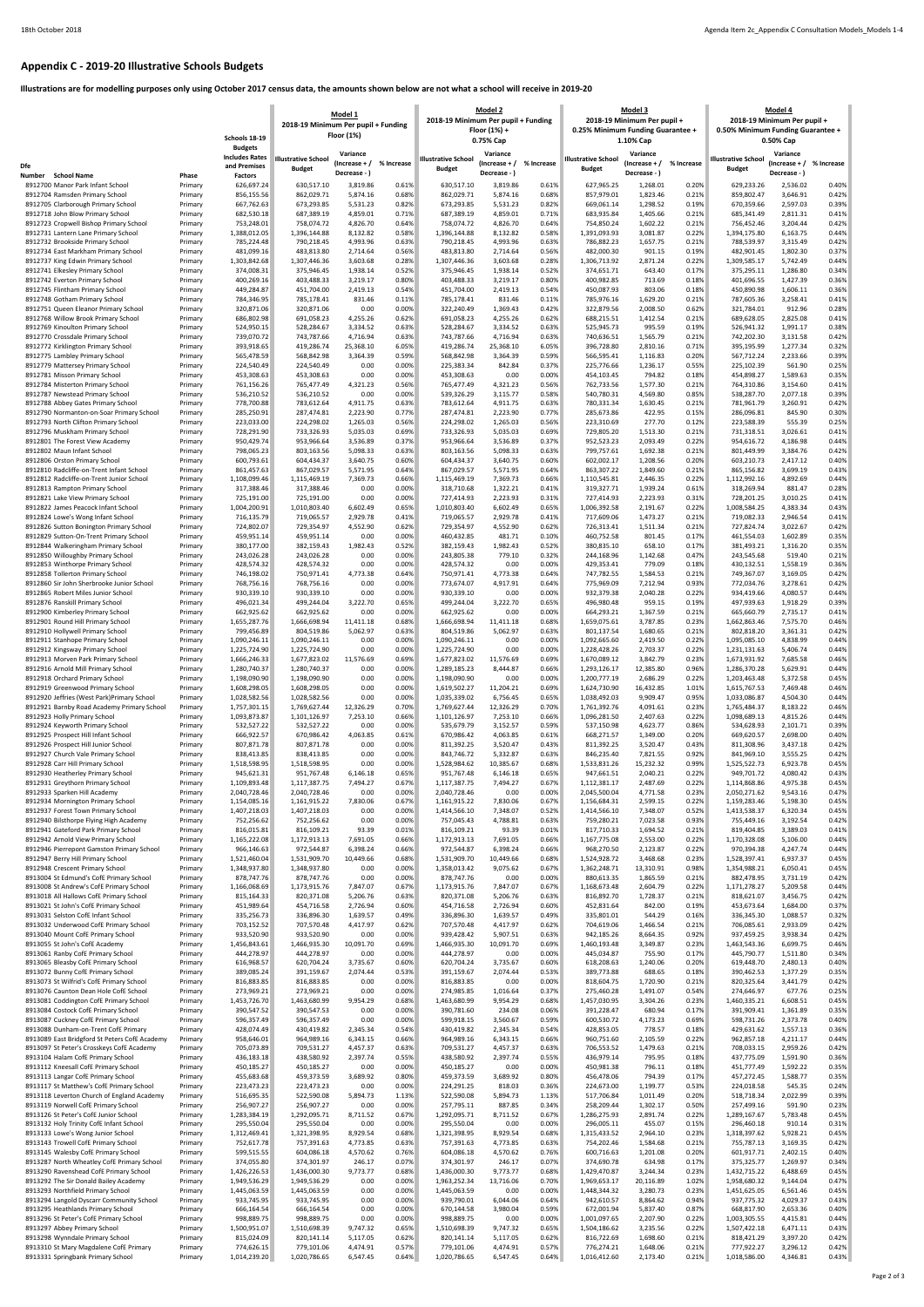## **Appendix C - 2019-20 Illustrative Schools Budgets**

**Illustrations are for modelling purposes only using October 2017 census data, the amounts shown below are not what a school will receive in 2019-20**

|                                                                            |                    | Schools 18-19<br><b>Budgets</b>       | Model 1<br>2018-19 Minimum Per pupil + Funding<br><b>Floor (1%)</b> |                           |                | <b>Model 2</b><br>2018-19 Minimum Per pupil + Funding<br>Floor (1%) +<br>0.75% Cap |                           |                | Model 3<br>2018-19 Minimum Per pupil +<br>0.25% Minimum Funding Guarantee +<br>1.10% Cap |                           |                | Model 4<br>2018-19 Minimum Per pupil +<br>0.50% Minimum Funding Guarantee +<br>0.50% Cap |                           |                |
|----------------------------------------------------------------------------|--------------------|---------------------------------------|---------------------------------------------------------------------|---------------------------|----------------|------------------------------------------------------------------------------------|---------------------------|----------------|------------------------------------------------------------------------------------------|---------------------------|----------------|------------------------------------------------------------------------------------------|---------------------------|----------------|
| Dfe                                                                        |                    | <b>Includes Rates</b><br>and Premises | <b>Illustrative School</b><br><b>Budget</b>                         | Variance<br>(Increase + / | % Increase     | <b>Illustrative School</b><br><b>Budget</b>                                        | Variance<br>(Increase + / | % Increase     | <b>Illustrative School</b><br><b>Budget</b>                                              | Variance<br>(Increase + / | % Increase     | <b>Illustrative School</b><br><b>Budget</b>                                              | Variance<br>(Increase + / | % Increase     |
| Number<br><b>School Name</b><br>8912700 Manor Park Infant School           | Phase<br>Primary   | Factors<br>626,697.24                 | 630,517.10                                                          | Decrease - )<br>3,819.86  | 0.61%          | 630,517.10                                                                         | Decrease - )<br>3,819.86  | 0.61%          | 627,965.25                                                                               | Decrease -<br>1,268.01    | 0.20%          | 629,233.26                                                                               | Decrease - )<br>2,536.02  | 0.40%          |
| 8912704 Ramsden Primary School                                             | Primary            | 856,155.56                            | 862,029.71                                                          | 5,874.16                  | 0.68%          | 862,029.71                                                                         | 5,874.16                  | 0.68%          | 857,979.01                                                                               | 1,823.46                  | 0.21%          | 859,802.47                                                                               | 3,646.91                  | 0.42%          |
| 8912705 Clarborough Primary School                                         | Primary            | 667,762.63                            | 673,293.85                                                          | 5,531.23                  | 0.82%          | 673,293.85                                                                         | 5,531.23                  | 0.82%          | 669,061.14                                                                               | 1,298.52                  | 0.19%          | 670,359.66                                                                               | 2,597.03                  | 0.39%          |
| 8912718 John Blow Primary School                                           | Primary            | 682,530.18                            | 687,389.19                                                          | 4,859.01                  | 0.71%          | 687,389.19                                                                         | 4,859.01                  | 0.71%          | 683,935.84                                                                               | 1,405.66                  | 0.21%          | 685,341.49                                                                               | 2,811.31                  | 0.41%          |
| 8912723 Cropwell Bishop Primary School                                     |                    | 753,248.01                            | 758,074.72                                                          | 4,826.70                  | 0.64%          | 758,074.72                                                                         | 4,826.70                  | 0.64%          | 754,850.24                                                                               | 1,602.22                  | 0.21%          | 756,452.46                                                                               | 3,204.44                  | 0.42%          |
| 8912731 Lantern Lane Primary School                                        | Primary<br>Primary | 1,388,012.05                          | 1,396,144.88                                                        | 8,132.82                  | 0.58%          | 1,396,144.88                                                                       | 8,132.82                  | 0.58%          | 1,391,093.93                                                                             | 3,081.87                  | 0.22%          | 1,394,175.80                                                                             | 6,163.75                  | 0.44%          |
| 8912732 Brookside Primary School                                           | Primary            | 785,224.48                            | 790,218.45                                                          | 4,993.96                  | 0.63%          | 790,218.45                                                                         | 4,993.96                  | 0.63%          | 786,882.23                                                                               | 1,657.75                  | 0.21%          | 788,539.97                                                                               | 3,315.49                  | 0.42%          |
| 8912734 East Markham Primary School                                        | Primary            | 481,099.16                            | 483,813.80                                                          | 2,714.64                  | 0.56%          | 483,813.80                                                                         | 2,714.64                  | 0.56%          | 482,000.30                                                                               | 901.15                    | 0.19%          | 482,901.45                                                                               | 1,802.30                  | 0.37%          |
| 8912737 King Edwin Primary School                                          | Primary            | 1,303,842.68                          | 1,307,446.36                                                        | 3,603.68                  | 0.28%          | 1,307,446.36                                                                       | 3,603.68                  | 0.28%          | 1,306,713.92                                                                             | 2,871.24                  | 0.22%          | 1,309,585.17                                                                             | 5,742.49                  | 0.44%          |
| 8912741 Elkesley Primary School                                            | Primary            | 374,008.31                            | 375,946.45                                                          | 1,938.14                  | 0.52%          | 375,946.45                                                                         | 1,938.14                  | 0.52%          | 374,651.71                                                                               | 643.40                    | 0.17%          | 375,295.11                                                                               | 1,286.80                  | 0.34%          |
| 8912742 Everton Primary School                                             | Primary            | 400,269.16                            | 403,488.33                                                          | 3,219.17                  | 0.80%          | 403,488.33                                                                         | 3,219.17                  | 0.80%          | 400,982.85                                                                               | 713.69                    | 0.18%          | 401,696.55                                                                               | 1,427.39                  | 0.36%          |
| 8912745 Flintham Primary School                                            | Primary            | 449,284.87                            | 451,704.00                                                          | 2,419.13                  | 0.54%          | 451,704.00                                                                         | 2,419.13                  | 0.54%          | 450,087.93                                                                               | 803.06                    | 0.18%          | 450,890.98                                                                               | 1,606.11                  | 0.36%          |
| 8912748 Gotham Primary School                                              | Primary            | 784,346.95                            | 785,178.41                                                          | 831.46                    | 0.11%          | 785,178.41                                                                         | 831.46                    | 0.11%          | 785,976.16                                                                               | 1,629.20                  | 0.21%          | 787,605.36                                                                               | 3,258.41                  | 0.41%          |
| 8912751 Queen Eleanor Primary School                                       | Primary            | 320,871.06                            | 320,871.06                                                          | 0.00                      | 0.00%          | 322,240.49                                                                         | 1,369.43                  | 0.42%          | 322,879.56                                                                               | 2,008.50                  | 0.62%          | 321,784.01                                                                               | 912.96                    | 0.28%          |
| 8912768 Willow Brook Primary School                                        | Primary            | 686,802.98                            | 691,058.23                                                          | 4,255.26                  | 0.62%          | 691,058.23                                                                         | 4,255.26                  | 0.62%          | 688,215.51                                                                               | 1,412.54                  | 0.21%          | 689,628.05                                                                               | 2,825.08                  | 0.41%          |
| 8912769 Kinoulton Primary School                                           | Primary            | 524,950.15                            | 528,284.67                                                          | 3,334.52                  | 0.63%          | 528,284.67                                                                         | 3,334.52                  | 0.63%          | 525,945.73                                                                               | 995.59                    | 0.19%          | 526,941.32                                                                               | 1,991.17                  | 0.38%          |
| 8912770 Crossdale Primary School                                           | Primary            | 739,070.72                            | 743,787.66                                                          | 4,716.94                  | 0.63%          | 743,787.66                                                                         | 4,716.94                  | 0.63%          | 740,636.51                                                                               | 1,565.79                  | 0.21%          | 742,202.30                                                                               | 3,131.58                  | 0.42%          |
| 8912772 Kirklington Primary School                                         | Primary            | 393,918.65                            | 419,286.74                                                          | 25,368.10                 | 6.05%          | 419,286.74                                                                         | 25,368.10                 | 6.05%          | 396,728.80                                                                               | 2,810.16                  | 0.71%          | 395,195.99                                                                               | 1,277.34                  | 0.32%          |
| 8912775 Lambley Primary School                                             | Primary            | 565,478.59                            | 568,842.98                                                          | 3,364.39                  | 0.59%          | 568,842.98                                                                         | 3,364.39                  | 0.59%          | 566,595.41                                                                               | 1,116.83                  | 0.20%          | 567,712.24                                                                               | 2,233.66                  | 0.39%          |
| 8912779 Mattersey Primary School                                           | Primary            | 224,540.49                            | 224,540.49                                                          | 0.00                      | 0.00%          | 225,383.34                                                                         | 842.84                    | 0.37%          | 225,776.66                                                                               | 1,236.17                  | 0.55%          | 225,102.39                                                                               | 561.90                    | 0.25%          |
| 8912781 Misson Primary School                                              | Primary            | 453,308.63                            | 453,308.63                                                          | 0.00                      | 0.00%          | 453,308.63                                                                         | 0.00                      | 0.00%          | 454,103.45                                                                               | 794.82                    | 0.18%          | 454,898.27                                                                               | 1,589.63                  | 0.35%          |
| 8912784 Misterton Primary School                                           | Primary            | 761,156.26                            | 765,477.49                                                          | 4,321.23                  | 0.56%          | 765,477.49                                                                         | 4,321.23                  | 0.56%          | 762,733.56                                                                               | 1,577.30                  | 0.21%          | 764,310.86                                                                               | 3,154.60                  | 0.41%          |
| 8912787 Newstead Primary School                                            | Primary            | 536,210.52                            | 536,210.52                                                          | 0.00                      | 0.00%          | 539,326.29                                                                         | 3,115.77                  | 0.58%          | 540,780.31                                                                               | 4,569.80                  | 0.85%          | 538,287.70                                                                               | 2,077.18                  | 0.39%          |
| 8912788 Abbey Gates Primary School                                         | Primary            | 778,700.88                            | 783,612.64                                                          | 4,911.75                  | 0.63%          | 783,612.64                                                                         | 4,911.75                  | 0.63%          | 780,331.34                                                                               | 1,630.45                  | 0.21%          | 781,961.79                                                                               | 3,260.91                  | 0.42%          |
| 8912790 Normanton-on-Soar Primary School                                   | Primary            | 285,250.91                            | 287,474.81                                                          | 2,223.90                  | 0.77%          | 287,474.81                                                                         | 2,223.90                  | 0.77%          | 285,673.86                                                                               | 422.95                    | 0.15%          | 286,096.81                                                                               | 845.90                    | 0.30%          |
| 8912793 North Clifton Primary School                                       | Primary            | 223,033.00                            | 224,298.02                                                          | 1,265.03                  | 0.56%          | 224,298.02                                                                         | 1,265.03                  | 0.56%          | 223,310.69                                                                               | 277.70                    | 0.12%          | 223,588.39                                                                               | 555.39                    | 0.25%          |
| 8912796 Muskham Primary School                                             | Primary            | 728,291.90                            | 733,326.93                                                          | 5,035.03                  | 0.69%          | 733,326.93                                                                         | 5,035.03                  | 0.69%          | 729,805.20                                                                               | 1,513.30                  | 0.21%          | 731,318.51                                                                               | 3,026.61                  | 0.41%          |
| 8912801 The Forest View Academy                                            | Primary            | 950,429.74                            | 953,966.64                                                          | 3,536.89                  | 0.37%          | 953,966.64                                                                         | 3,536.89                  | 0.37%          | 952,523.23                                                                               | 2,093.49                  | 0.22%          | 954,616.72                                                                               | 4,186.98                  | 0.44%          |
| 8912802 Maun Infant School                                                 | Primary            | 798,065.23                            | 803,163.56                                                          | 5,098.33                  | 0.63%          | 803,163.56                                                                         | 5,098.33                  | 0.63%          | 799,757.61                                                                               | 1,692.38                  | 0.21%          | 801,449.99                                                                               | 3,384.76                  | 0.42%          |
| 8912806 Orston Primary School                                              | Primary            | 600,793.61                            | 604,434.37                                                          | 3,640.75                  | 0.60%          | 604,434.37                                                                         | 3,640.75                  | 0.60%          | 602,002.17                                                                               | 1,208.56                  | 0.20%          | 603,210.73                                                                               | 2,417.12                  | 0.40%          |
| 8912810 Radcliffe-on-Trent Infant School                                   | Primary            | 861,457.63                            | 867,029.57                                                          | 5,571.95                  | 0.64%          | 867,029.57                                                                         | 5,571.95                  | 0.64%          | 863,307.22                                                                               | 1,849.60                  | 0.21%          | 865,156.82                                                                               | 3,699.19                  | 0.43%          |
| 8912812 Radcliffe-on-Trent Junior School                                   | Primary            | 1,108,099.46                          | 1,115,469.19                                                        | 7,369.73                  | 0.66%          | 1,115,469.19                                                                       | 7,369.73                  | 0.66%          | 1,110,545.81                                                                             | 2,446.35                  | 0.22%          | 1,112,992.16                                                                             | 4,892.69                  | 0.44%          |
| 8912813 Rampton Primary School                                             | Primary            | 317,388.46                            | 317,388.46                                                          | 0.00                      | 0.00%          | 318,710.68                                                                         | 1,322.21                  | 0.41%          | 319,327.71                                                                               | 1,939.24                  | 0.61%          | 318,269.94                                                                               | 881.47                    | 0.28%          |
| 8912821 Lake View Primary School                                           | Primary            | 725,191.00                            | 725,191.00                                                          | 0.00                      | 0.00%          | 727,414.93                                                                         | 2,223.93                  | 0.31%          | 727,414.93                                                                               | 2,223.93                  | 0.31%          | 728,201.25                                                                               | 3,010.25                  | 0.41%          |
| 8912822 James Peacock Infant School                                        | Primary            | 1,004,200.91                          | 1,010,803.40                                                        | 6,602.49                  | 0.65%          | 1,010,803.40                                                                       | 6,602.49                  | 0.65%          | 1,006,392.58                                                                             | 2,191.67                  | 0.22%          | 1,008,584.25                                                                             | 4,383.34                  | 0.43%          |
| 8912824 Lowe's Wong Infant School                                          | Primary            | 716,135.79                            | 719,065.57                                                          | 2,929.78                  | 0.41%          | 719,065.57                                                                         | 2,929.78                  | 0.41%          | 717,609.06                                                                               | 1,473.27                  | 0.21%          | 719,082.33                                                                               | 2,946.54                  | 0.41%          |
| 8912826 Sutton Bonington Primary School                                    | Primary            | 724,802.07                            | 729,354.97                                                          | 4,552.90                  | 0.62%          | 729,354.97                                                                         | 4,552.90                  | 0.62%          | 726,313.41                                                                               | 1,511.34                  | 0.21%          | 727,824.74                                                                               | 3,022.67                  | 0.42%          |
| 8912829 Sutton-On-Trent Primary School                                     | Primary            | 459,951.14                            | 459,951.14                                                          | 0.00                      | 0.00%          | 460,432.85                                                                         | 481.71                    | 0.10%          | 460,752.58                                                                               | 801.45                    | 0.17%          | 461,554.03                                                                               | 1,602.89                  | 0.35%          |
| 8912844 Walkeringham Primary School                                        | Primary            | 380,177.00                            | 382,159.43                                                          | 1,982.43                  | 0.52%          | 382,159.43                                                                         | 1,982.43                  | 0.52%          | 380,835.10                                                                               | 658.10                    | 0.17%          | 381,493.21                                                                               | 1,316.20                  | 0.35%          |
| 8912850 Willoughby Primary School                                          | Primary            | 243,026.28                            | 243,026.28                                                          | 0.00                      | 0.00%          | 243,805.38                                                                         | 779.10                    | 0.32%          | 244,168.96                                                                               | 1,142.68                  | 0.47%          | 243,545.68                                                                               | 519.40                    | 0.21%          |
| 8912853 Winthorpe Primary School                                           | Primary            | 428,574.32                            | 428,574.32                                                          | 0.00                      | 0.00%          | 428,574.32                                                                         | 0.00                      | 0.00%          | 429,353.41                                                                               | 779.09                    | 0.18%          | 430,132.51                                                                               | 1,558.19                  | 0.36%          |
| 8912858 Tollerton Primary School                                           | Primary            | 746,198.02                            | 750,971.41                                                          | 4,773.38                  | 0.64%          | 750,971.41                                                                         | 4,773.38                  | 0.64%          | 747,782.55                                                                               | 1,584.53                  | 0.21%          | 749,367.07                                                                               | 3,169.05                  | 0.42%          |
| 8912860 Sir John Sherbrooke Junior School                                  | Primary            | 768,756.16                            | 768,756.16                                                          | 0.00                      | 0.00%          | 773,674.07                                                                         | 4,917.91                  | 0.64%          | 775,969.09                                                                               | 7,212.94                  | 0.93%          | 772.034.76                                                                               | 3,278.61                  | 0.42%          |
| 8912865 Robert Miles Junior School                                         | Primary            | 930,339.10                            | 930,339.10                                                          | 0.00                      | $0.00\%$       | 930,339.10                                                                         | 0.00                      | 0.00%          | 932,379.38                                                                               | 2,040.28                  | 0.22%          | 934,419.66                                                                               | 4,080.57                  | 0.44%          |
| 8912876 Ranskill Primary School                                            | Primary            | 496,021.34                            | 499,244.04                                                          | 3,222.70                  | 0.65%          | 499,244.04                                                                         | 3,222.70                  | 0.65%          | 496,980.48                                                                               | 959.15                    | 0.19%          | 497,939.63                                                                               | 1,918.29                  | 0.39%          |
| 8912900 Kimberley Primary School                                           | Primary            | 662,925.62                            | 662,925.62                                                          | 0.00                      | 0.00%          | 662,925.62                                                                         | 0.00                      | 0.00%          | 664,293.21                                                                               | 1,367.59                  | 0.21%          | 665,660.79                                                                               | 2,735.17                  | 0.41%<br>0.46% |
| 8912901 Round Hill Primary School                                          | Primary            | 1,655,287.76                          | 1,666,698.94                                                        | 11,411.18                 | 0.68%          | 1,666,698.94                                                                       | 11,411.18                 | 0.68%          | 1,659,075.61                                                                             | 3,787.85                  | 0.23%          | 1,662,863.46                                                                             | 7,575.70                  | 0.42%          |
| 8912910 Hollywell Primary School                                           | Primary            | 799,456.89                            | 804,519.86                                                          | 5,062.97                  | 0.63%          | 804,519.86                                                                         | 5,062.97                  | 0.63%          | 801,137.54                                                                               | 1,680.65                  | 0.21%          | 802,818.20                                                                               | 3,361.31                  |                |
| 8912911 Stanhope Primary School                                            | Primary            | 1,090,246.11                          | 1,090,246.11                                                        | 0.00                      | 0.00%          | 1,090,246.11                                                                       | 0.00                      | 0.00%          | 1,092,665.60                                                                             | 2,419.50                  | 0.22%          | 1,095,085.10                                                                             | 4,838.99                  | 0.44%          |
| 8912912 Kingsway Primary School                                            | Primary            | 1,225,724.90                          | 1,225,724.90                                                        | 0.00                      | 0.00%          | 1,225,724.90                                                                       | 0.00                      | 0.00%          | 1,228,428.26                                                                             | 2,703.37                  | 0.22%          | 1,231,131.63                                                                             | 5,406.74                  | 0.44%          |
| 8912913 Morven Park Primary School<br>8912916 Arnold Mill Primary School   | Primary            | 1,666,246.33                          | 1,677,823.02                                                        | 11,576.69                 | 0.69%          | 1,677,823.02                                                                       | 11,576.69                 | 0.69%          | 1,670,089.12                                                                             | 3,842.79                  | 0.23%          | 1,673,931.92                                                                             | 7,685.58                  | 0.46%          |
| 8912918 Orchard Primary School                                             | Primary            | 1,280,740.37                          | 1,280,740.37                                                        | 0.00                      | 0.00%          | 1,289,185.23                                                                       | 8,444.87                  | 0.66%          | 1,293,126.17                                                                             | 12,385.80                 | 0.96%          | 1,286,370.28                                                                             | 5,629.91                  | 0.44%          |
|                                                                            | Primary            | 1,198,090.90                          | 1,198,090.90                                                        | 0.00                      | 0.00%          | 1,198,090.90                                                                       | 0.00                      | 0.00%          | 1,200,777.19                                                                             | 2,686.29                  | 0.22%          | 1,203,463.48                                                                             | 5,372.58                  | 0.45%          |
| 8912919 Greenwood Primary School                                           | Primary            | 1,608,298.05                          | 1,608,298.05                                                        | 0.00                      | 0.00%          | 1,619,502.27                                                                       | 11,204.21                 | 0.69%          | 1,624,730.90                                                                             | 16,432.85                 | 1.01%          | 1,615,767.53                                                                             | 7,469.48                  | 0.46%          |
| 8912920 Jeffries (West Park)Primary School                                 | Primary            | 1,028,582.56                          | 1,028,582.56                                                        | 0.00                      | 0.00%          | 1,035,339.02                                                                       | 6,756.45                  | 0.65%          | 1,038,492.03                                                                             | 9,909.47                  | 0.95%          | 1,033,086.87                                                                             | 4,504.30                  | 0.44%          |
| 8912921 Barnby Road Academy Primary School<br>8912923 Holly Primary School | Primary            | 1,757,301.15<br>1,093,873.87          | 1,769,627.44<br>1,101,126.97                                        | 12,326.29<br>7,253.10     | 0.70%<br>0.66% | 1,769,627.44                                                                       | 12,326.29<br>7,253.10     | 0.70%<br>0.66% | 1,761,392.76<br>1,096,281.50                                                             | 4,091.61<br>2,407.63      | 0.23%<br>0.22% | 1,765,484.37<br>1,098,689.13                                                             | 8,183.22<br>4,815.26      | 0.46%<br>0.44% |
| 8912924 Keyworth Primary School                                            | Primary<br>Primary | 532,527.22                            | 532,527.22                                                          | 0.00                      | 0.00%          | 1,101,126.97<br>535,679.79                                                         | 3,152.57                  | 0.59%          | 537,150.98                                                                               | 4,623.77                  | 0.86%          | 534,628.93                                                                               | 2,101.71                  | 0.39%          |
| 8912925 Prospect Hill Infant School                                        | Primary            | 666,922.57                            | 670,986.42                                                          | 4,063.85                  | 0.61%          | 670,986.42                                                                         | 4,063.85                  | 0.61%          | 668,271.57                                                                               | 1,349.00                  | 0.20%          | 669,620.57                                                                               | 2,698.00                  | 0.40%          |
| 8912926 Prospect Hill Junior School                                        | Primary            | 807,871.78                            | 807,871.78                                                          | 0.00                      | 0.00%          | 811,392.25                                                                         | 3,520.47                  | 0.43%          | 811,392.25                                                                               | 3,520.47                  | 0.43%          | 811,308.96                                                                               | 3,437.18                  | 0.42%          |
| 8912927 Church Vale Primary School                                         | Primary            | 838,413.85                            | 838,413.85                                                          | 0.00                      | 0.00%          | 843,746.72                                                                         | 5,332.87                  | 0.63%          | 846,235.40                                                                               | 7,821.55                  | 0.92%          | 841,969.10                                                                               | 3,555.25                  | 0.42%          |
| 8912928 Carr Hill Primary School                                           | Primary            | 1,518,598.95                          | 1,518,598.95                                                        | 0.00                      | 0.00%          | 1,528,984.62                                                                       | 10,385.67                 | 0.68%          | 1,533,831.26                                                                             | 15,232.32                 | 0.99%          | 1,525,522.73                                                                             | 6,923.78                  | 0.45%          |
| 8912930 Heatherley Primary School                                          | Primary            | 945,621.31                            | 951,767.48                                                          | 6,146.18                  | 0.65%          | 951,767.48                                                                         | 6,146.18                  | 0.65%          | 947,661.51                                                                               | 2,040.21                  | 0.22%          | 949,701.72                                                                               | 4,080.42                  | 0.43%          |
| 8912931 Greythorn Primary School                                           | Primary            | 1,109,893.48                          | 1,117,387.75                                                        | 7,494.27                  | 0.67%          | 1,117,387.75                                                                       | 7,494.27                  | 0.67%          | 1,112,381.17                                                                             | 2,487.69                  | 0.22%          | 1,114,868.86                                                                             | 4,975.38                  | 0.45%          |
| 8912933 Sparken Hill Academy                                               | Primary            | 2,040,728.46                          | 2,040,728.46                                                        | 0.00                      | 0.00%          | 2,040,728.46                                                                       | 0.00                      | 0.00%          | 2,045,500.04                                                                             | 4,771.58                  | 0.23%          | 2,050,271.62                                                                             | 9,543.16                  | 0.47%          |
| 8912934 Mornington Primary School                                          | Primary            | 1,154,085.16                          | 1,161,915.22                                                        | 7,830.06                  | 0.67%          | 1,161,915.22                                                                       | 7,830.06                  | 0.67%          | 1,156,684.31                                                                             | 2,599.15                  | 0.22%          | 1,159,283.46                                                                             | 5,198.30                  | 0.45%          |
| 8912937 Forest Town Primary School                                         | Primary            | 1,407,218.03                          | 1,407,218.03                                                        | 0.00                      | 0.00%          | 1,414,566.10                                                                       | 7,348.07                  | 0.52%          | 1,414,566.10                                                                             | 7,348.07                  | 0.52%          | 1,413,538.37                                                                             | 6,320.34                  | 0.45%          |
| 8912940 Bilsthorpe Flying High Academy                                     | Primary            | 752,256.62                            | 752,256.62                                                          | 0.00                      | 0.00%          | 757,045.43                                                                         | 4,788.81                  | 0.63%          | 759,280.21                                                                               | 7,023.58                  | 0.93%          | 755,449.16                                                                               | 3,192.54                  | 0.42%          |
| 8912941 Gateford Park Primary School                                       | Primary            | 816,015.81                            | 816,109.21                                                          | 93.39                     | 0.01%          | 816,109.21                                                                         | 93.39                     | 0.01%          | 817,710.33                                                                               | 1,694.52                  | 0.21%          | 819,404.85                                                                               | 3,389.03                  | 0.41%          |
| 8912942 Arnold View Primary School                                         | Primary            | 1,165,222.08                          | 1,172,913.13                                                        | 7,691.05                  | 0.66%          | 1,172,913.13                                                                       | 7,691.05                  | 0.66%          | 1,167,775.08                                                                             | 2,553.00                  | 0.22%          | 1,170,328.08                                                                             | 5,106.00                  | 0.44%          |
| 8912946 Pierrepont Gamston Primary School                                  | Primary            | 966,146.63                            | 972,544.87                                                          | 6,398.24                  | 0.66%          | 972,544.87                                                                         | 6,398.24                  | 0.66%          | 968,270.50                                                                               | 2,123.87                  | 0.22%          | 970,394.38                                                                               | 4,247.74                  | 0.44%          |
| 8912947 Berry Hill Primary School                                          | Primary            | 1,521,460.04                          | 1,531,909.70                                                        | 10,449.66                 | 0.68%          | 1,531,909.70                                                                       | 10,449.66                 | 0.68%          | 1,524,928.72                                                                             | 3,468.68                  | 0.23%          | 1,528,397.41                                                                             | 6,937.37                  | 0.45%          |
| 8912948 Crescent Primary School                                            | Primary            | 1,348,937.80                          | 1,348,937.80                                                        | 0.00                      | 0.00%          | 1,358,013.42                                                                       | 9,075.62                  | 0.67%          | 1,362,248.71                                                                             | 13,310.91                 | 0.98%          | 1,354,988.21                                                                             | 6,050.41                  | 0.45%          |
| 8913004 St Edmund's CofE Primary School                                    | Primary            | 878,747.76                            | 878,747.76                                                          | 0.00                      | 0.00%          | 878,747.76                                                                         | 0.00                      | 0.00%          | 880,613.35                                                                               | 1,865.59                  | 0.21%          | 882,478.95                                                                               | 3,731.19                  | 0.42%          |
| 8913008 St Andrew's CofE Primary School                                    | Primary            | 1,166,068.69                          | 1,173,915.76                                                        | 7,847.07                  | 0.67%          | 1,173,915.76                                                                       | 7,847.07                  | 0.67%          | 1,168,673.48                                                                             | 2,604.79                  | 0.22%          | 1,171,278.27                                                                             | 5,209.58                  | 0.44%          |
| 8913018 All Hallows CofE Primary School                                    | Primary            | 815,164.33                            | 820,371.08                                                          | 5,206.76                  | 0.63%          | 820,371.08                                                                         | 5,206.76                  | 0.63%          | 816,892.70                                                                               | 1,728.37                  | 0.21%          | 818,621.07                                                                               | 3,456.75                  | 0.42%          |
| 8913021 St John's CofE Primary School                                      | Primary            | 451,989.64                            | 454,716.58                                                          | 2,726.94                  | 0.60%          | 454,716.58                                                                         | 2,726.94                  | 0.60%          | 452,831.64                                                                               | 842.00                    | 0.19%          | 453,673.64                                                                               | 1,684.00                  | 0.37%          |
| 8913031 Selston CofE Infant School                                         | Primary            | 335,256.73                            | 336,896.30                                                          | 1,639.57                  | 0.49%          | 336,896.30                                                                         | 1,639.57                  | 0.49%          | 335,801.01                                                                               | 544.29                    | 0.16%          | 336,345.30                                                                               | 1,088.57                  | 0.32%          |
| 8913032 Underwood CofE Primary School                                      | Primary            | 703,152.52                            | 707,570.48                                                          | 4,417.97                  | 0.62%          | 707,570.48                                                                         | 4,417.97                  | 0.62%          | 704,619.06                                                                               | 1,466.54                  | 0.21%          | 706,085.61                                                                               | 2,933.09                  | 0.42%          |
| 8913040 Mount CofE Primary School                                          | Primary            | 933,520.90                            | 933,520.90                                                          | 0.00                      | 0.00%          | 939,428.42                                                                         | 5,907.51                  | 0.63%          | 942,185.26                                                                               | 8,664.35                  | 0.92%          | 937,459.25                                                                               | 3,938.34                  | 0.42%          |
| 8913055 St John's CofE Academy                                             | Primary            | 1,456,843.61                          | 1,466,935.30                                                        | 10,091.70                 | 0.69%          | 1,466,935.30                                                                       | 10,091.70                 | 0.69%          | 1,460,193.48                                                                             | 3,349.87                  | 0.23%          | 1,463,543.36                                                                             | 6,699.75                  | 0.46%          |
| 8913061 Ranby CofE Primary School                                          | Primary            | 444,278.97                            | 444,278.97                                                          | 0.00                      | 0.00%          | 444,278.97                                                                         | 0.00                      | 0.00%          | 445,034.87                                                                               | 755.90                    | 0.17%          | 445,790.77                                                                               | 1,511.80                  | 0.34%          |
| 8913065 Bleasby CofE Primary School                                        | Primary            | 616,968.57                            | 620,704.24                                                          | 3,735.67                  | 0.60%          | 620,704.24                                                                         | 3,735.67                  | 0.60%          | 618,208.63                                                                               | 1,240.06                  | 0.20%          | 619,448.70                                                                               | 2,480.13                  | 0.40%          |
| 8913072 Bunny CofE Primary School                                          | Primary            | 389,085.24                            | 391,159.67                                                          | 2,074.44                  | 0.53%          | 391,159.67                                                                         | 2,074.44                  | 0.53%          | 389,773.88                                                                               | 688.65                    | 0.18%          | 390,462.53                                                                               | 1,377.29                  | 0.35%          |
| 8913073 St Wilfrid's CofE Primary School                                   | Primary            | 816,883.85                            | 816,883.85                                                          | 0.00                      | 0.00%          | 816,883.85                                                                         | 0.00                      | 0.00%          | 818,604.75                                                                               | 1,720.90                  | 0.21%          | 820,325.64                                                                               | 3,441.79                  | 0.42%          |
| 8913076 Caunton Dean Hole CofE School                                      | Primary            | 273,969.21                            | 273,969.21                                                          | 0.00                      | 0.00%          | 274,985.85                                                                         | 1,016.64                  | 0.37%          | 275,460.28                                                                               | 1,491.07                  | 0.54%          | 274,646.97                                                                               | 677.76                    | 0.25%          |
| 8913081 Coddington CofE Primary School                                     | Primary            | 1,453,726.70                          | 1,463,680.99                                                        | 9,954.29                  | 0.68%          | 1,463,680.99                                                                       | 9,954.29                  | 0.68%          | 1,457,030.95                                                                             | 3,304.26                  | 0.23%          | 1,460,335.21                                                                             | 6,608.51                  | 0.45%          |
| 8913084 Costock CofE Primary School                                        | Primary            | 390,547.52                            | 390,547.53                                                          | 0.00                      | 0.00%          | 390,781.60                                                                         | 234.08                    | 0.06%          | 391,228.47                                                                               | 680.94                    | 0.17%          | 391,909.41                                                                               | 1,361.89                  | 0.35%          |
| 8913087 Cuckney CofE Primary School                                        | Primary            | 596,357.49                            | 596,357.49                                                          | 0.00                      | 0.00%          | 599,918.15                                                                         | 3,560.67                  | 0.59%          | 600,530.72                                                                               | 4,173.23                  | 0.69%          | 598,731.26                                                                               | 2,373.78                  | 0.40%          |
| 8913088 Dunham-on-Trent CofE Primary                                       | Primary            | 428,074.49                            | 430,419.82                                                          | 2,345.34                  | 0.54%          | 430,419.82                                                                         | 2,345.34                  | 0.54%          | 428,853.05                                                                               | 778.57                    | 0.18%          | 429,631.62                                                                               | 1,557.13                  | 0.36%          |
| 8913089 East Bridgford St Peters CofE Academy                              | Primary            | 958,646.01                            | 964,989.16                                                          | 6,343.15                  | 0.66%          | 964,989.16                                                                         | 6,343.15                  | 0.66%          | 960,751.60                                                                               | 2,105.59                  | 0.22%          | 962,857.18                                                                               | 4,211.17                  | 0.44%          |
| 8913097 St Peter's Crosskeys CofE Academy                                  | Primary            | 705,073.89                            | 709,531.27                                                          | 4,457.37                  | 0.63%          | 709,531.27                                                                         | 4,457.37                  | 0.63%          | 706,553.52                                                                               | 1,479.63                  | 0.21%          | 708,033.15                                                                               | 2,959.26                  | 0.42%          |
| 8913104 Halam CofE Primary School                                          | Primary            | 436,183.18                            | 438,580.92                                                          | 2,397.74                  | 0.55%          | 438,580.92                                                                         | 2,397.74                  | 0.55%          | 436,979.14                                                                               | 795.95                    | 0.18%          | 437,775.09                                                                               | 1,591.90                  | 0.36%          |
| 8913112 Kneesall CofE Primary School                                       | Primary            | 450,185.27                            | 450,185.27                                                          | 0.00                      | 0.00%          | 450,185.27                                                                         | 0.00                      | 0.00%          | 450,981.38                                                                               | 796.11                    | 0.18%          | 451,777.49                                                                               | 1,592.22                  | 0.35%          |
| 8913113 Langar CofE Primary School                                         | Primary            | 455,683.68                            | 459,373.59                                                          | 3,689.92                  | 0.80%          | 459,373.59                                                                         | 3,689.92                  | 0.80%          | 456,478.06                                                                               | 794.39                    | 0.17%          | 457,272.45                                                                               | 1,588.77                  | 0.35%          |
| 8913117 St Matthew's CofE Primary School                                   | Primary            | 223,473.23                            | 223,473.23                                                          | 0.00                      | 0.00%          | 224,291.25                                                                         | 818.03                    | 0.36%          | 224,673.00                                                                               | 1,199.77                  | 0.53%          | 224,018.58                                                                               | 545.35                    | 0.24%          |
| 8913118 Leverton Church of England Academy                                 | Primary            | 516,695.35                            | 522,590.08                                                          | 5,894.73                  | 1.13%          | 522,590.08                                                                         | 5,894.73                  | 1.13%          | 517,706.84                                                                               | 1,011.49                  | 0.20%          | 518,718.34                                                                               | 2,022.99                  | 0.39%          |
| 8913119 Norwell CofE Primary School                                        | Primary            | 256,907.27                            | 256,907.27                                                          | 0.00                      | 0.00%          | 257,795.11                                                                         | 887.85                    | 0.34%          | 258,209.44                                                                               | 1,302.17                  | 0.50%          | 257,499.16                                                                               | 591.90                    | 0.23%          |
| 8913126 St Peter's CofE Junior School                                      | Primary            | 1,283,384.19                          | 1,292,095.71                                                        | 8,711.52                  | 0.67%          | 1,292,095.71                                                                       | 8,711.52                  | 0.67%          | 1,286,275.93                                                                             | 2,891.74                  | 0.22%          | 1,289,167.67                                                                             | 5,783.48                  | 0.45%          |
| 8913132 Holy Trinity CofE Infant School                                    | Primary            | 295,550.04                            | 295,550.04                                                          | 0.00                      | 0.00%          | 295,550.04                                                                         | 0.00                      | 0.00%          | 296,005.11                                                                               | 455.07                    | 0.15%          | 296,460.18                                                                               | 910.14                    | 0.31%          |
| 8913133 Lowe's Wong Junior School                                          | Primary            | 1,312,469.41                          | 1,321,398.95                                                        | 8,929.54                  | 0.68%          | 1,321,398.95                                                                       | 8,929.54                  | 0.68%          | 1,315,433.52                                                                             | 2,964.10                  | 0.23%          | 1,318,397.62                                                                             | 5,928.21                  | 0.45%          |
| 8913143 Trowell CofE Primary School                                        | Primary            | 752,617.78                            | 757,391.63                                                          | 4,773.85                  | 0.63%          | 757,391.63                                                                         | 4,773.85                  | 0.63%          | 754,202.46                                                                               | 1,584.68                  | 0.21%          | 755,787.13                                                                               | 3,169.35                  | 0.42%          |
| 8913145 Walesby CofE Primary School                                        | Primary            | 599,515.55                            | 604,086.18                                                          | 4,570.62                  | 0.76%          | 604,086.18                                                                         | 4,570.62                  | 0.76%          | 600,716.63                                                                               | 1,201.08                  | 0.20%          | 601,917.71                                                                               | 2,402.15                  | 0.40%          |
| 8913287 North Wheatley CofE Primary School                                 | Primary            | 374,055.80                            | 374,301.97                                                          | 246.17                    | 0.07%          | 374,301.97                                                                         | 246.17                    | 0.07%          | 374,690.78                                                                               | 634.98                    | 0.17%          | 375,325.77                                                                               | 1,269.97                  | 0.34%          |
| 8913290 Ravenshead CofE Primary School                                     | Primary            | 1,426,226.53                          | 1,436,000.30                                                        | 9,773.77                  | 0.68%          | 1,436,000.30                                                                       | 9,773.77                  | 0.68%          | 1,429,470.87                                                                             | 3,244.34                  | 0.23%          | 1,432,715.22                                                                             | 6,488.69                  | 0.45%          |
| 8913292 The Sir Donald Bailey Academy                                      | Primary            | 1,949,536.29                          | 1,949,536.29                                                        | 0.00                      | 0.00%          | 1,963,252.34                                                                       | 13,716.06                 | 0.70%          | 1,969,653.17                                                                             | 20,116.89                 | 1.02%          | 1,958,680.32                                                                             | 9,144.04                  | 0.47%          |
| 8913293 Northfield Primary School                                          | Primary            | 1,445,063.59                          | 1,445,063.59                                                        | 0.00                      | 0.00%          | 1,445,063.59                                                                       | 0.00                      | 0.00%          | 1,448,344.32                                                                             | 3,280.73                  | 0.23%          | 1,451,625.05                                                                             | 6,561.46                  | 0.45%          |
| 8913294 Langold Dyscarr Community School                                   | Primary            | 933,745.95                            | 933,745.95                                                          | 0.00                      | 0.00%          | 939,790.01                                                                         | 6,044.06                  | 0.64%          | 942,610.57                                                                               | 8,864.62                  | 0.94%          | 937,775.32                                                                               | 4,029.37                  | 0.43%          |
| 8913295 Heathlands Primary School                                          | Primary            | 666,164.54                            | 666,164.54                                                          | 0.00                      | 0.00%          | 670,144.58                                                                         | 3,980.04                  | 0.59%          | 672,001.94                                                                               | 5,837.40                  | 0.87%          | 668,817.90                                                                               | 2,653.36                  | 0.40%          |
| 8913296 St Peter's CofE Primary School                                     | Primary            | 998,889.75                            | 998,889.75                                                          | 0.00                      | 0.00%          | 998,889.75                                                                         | 0.00                      | 0.00%          | 1,001,097.65                                                                             | 2,207.90                  | 0.22%          | 1,003,305.55                                                                             | 4,415.81                  | 0.44%          |
| 8913297 Abbey Primary School                                               | Primary            | 1,500,951.07                          | 1,510,698.39                                                        | 9,747.32                  | 0.65%          | 1,510,698.39                                                                       | 9,747.32                  | 0.65%          | 1,504,186.62                                                                             | 3,235.56                  | 0.22%          | 1,507,422.18                                                                             | 6,471.11                  | 0.43%          |
| 8913298 Wynndale Primary School                                            | Primary            | 815,024.09                            | 820,141.14                                                          | 5,117.05                  | 0.62%          | 820,141.14                                                                         | 5,117.05                  | 0.62%          | 816,722.69                                                                               | 1,698.60                  | 0.21%          | 818,421.29                                                                               | 3,397.20                  | 0.42%          |
| 8913310 St Mary Magdalene CofE Primary                                     | Primary            | 774,626.15                            | 779,101.06                                                          | 4,474.91                  | 0.57%          | 779,101.06                                                                         | 4,474.91                  | 0.57%          | 776,274.21                                                                               | 1,648.06                  | 0.21%          | 777,922.27                                                                               | 3,296.12                  | 0.42%          |
| 8913331 Springbank Primary School                                          | Primary            | 1,014,239.20                          | 1,020,786.65                                                        | 6,547.45                  | 0.64%          | 1,020,786.65                                                                       | 6,547.45                  | 0.64%          | 1,016,412.60                                                                             | 2,173.40                  | 0.21%          | 1,018,586.00                                                                             | 4,346.81                  | 0.43%          |